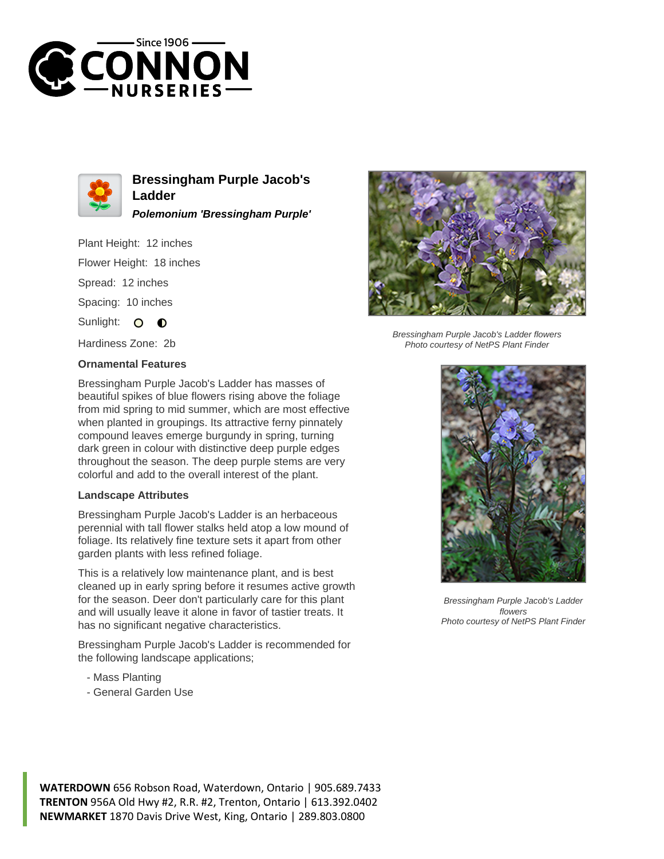



**Bressingham Purple Jacob's Ladder Polemonium 'Bressingham Purple'**

Plant Height: 12 inches

Flower Height: 18 inches

Spread: 12 inches

Spacing: 10 inches

Sunlight: O  $\bullet$ 

Hardiness Zone: 2b

## **Ornamental Features**

Bressingham Purple Jacob's Ladder has masses of beautiful spikes of blue flowers rising above the foliage from mid spring to mid summer, which are most effective when planted in groupings. Its attractive ferny pinnately compound leaves emerge burgundy in spring, turning dark green in colour with distinctive deep purple edges throughout the season. The deep purple stems are very colorful and add to the overall interest of the plant.

## **Landscape Attributes**

Bressingham Purple Jacob's Ladder is an herbaceous perennial with tall flower stalks held atop a low mound of foliage. Its relatively fine texture sets it apart from other garden plants with less refined foliage.

This is a relatively low maintenance plant, and is best cleaned up in early spring before it resumes active growth for the season. Deer don't particularly care for this plant and will usually leave it alone in favor of tastier treats. It has no significant negative characteristics.

Bressingham Purple Jacob's Ladder is recommended for the following landscape applications;

- Mass Planting
- General Garden Use



Bressingham Purple Jacob's Ladder flowers Photo courtesy of NetPS Plant Finder



Bressingham Purple Jacob's Ladder flowers Photo courtesy of NetPS Plant Finder

**WATERDOWN** 656 Robson Road, Waterdown, Ontario | 905.689.7433 **TRENTON** 956A Old Hwy #2, R.R. #2, Trenton, Ontario | 613.392.0402 **NEWMARKET** 1870 Davis Drive West, King, Ontario | 289.803.0800